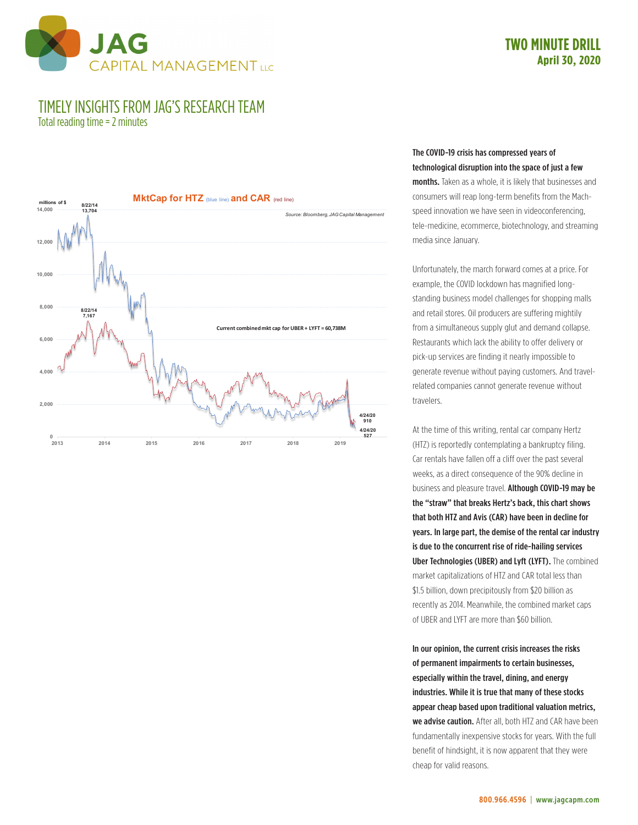

## **TWO MINUTE DRILL April 30, 2020**

## TIMELY INSIGHTS FROM JAG'S RESEARCH TEAM

Total reading time = 2 minutes



## The COVID-19 crisis has compressed years of technological disruption into the space of just a few

months. Taken as a whole, it is likely that businesses and consumers will reap long-term benefits from the Machspeed innovation we have seen in videoconferencing, tele-medicine, ecommerce, biotechnology, and streaming media since January.

Unfortunately, the march forward comes at a price. For example, the COVID lockdown has magnified longstanding business model challenges for shopping malls and retail stores. Oil producers are suffering mightily from a simultaneous supply glut and demand collapse. Restaurants which lack the ability to offer delivery or pick-up services are finding it nearly impossible to generate revenue without paying customers. And travelrelated companies cannot generate revenue without travelers.

At the time of this writing, rental car company Hertz (HTZ) is reportedly contemplating a bankruptcy filing. Car rentals have fallen off a cliff over the past several weeks, as a direct consequence of the 90% decline in business and pleasure travel. Although COVID-19 may be the "straw" that breaks Hertz's back, this chart shows that both HTZ and Avis (CAR) have been in decline for years. In large part, the demise of the rental car industry is due to the concurrent rise of ride-hailing services Uber Technologies (UBER) and Lyft (LYFT). The combined market capitalizations of HTZ and CAR total less than \$1.5 billion, down precipitously from \$20 billion as recently as 2014. Meanwhile, the combined market caps of UBER and LYFT are more than \$60 billion.

In our opinion, the current crisis increases the risks of permanent impairments to certain businesses, especially within the travel, dining, and energy industries. While it is true that many of these stocks appear cheap based upon traditional valuation metrics, we advise caution. After all, both HTZ and CAR have been fundamentally inexpensive stocks for years. With the full benefit of hindsight, it is now apparent that they were cheap for valid reasons.